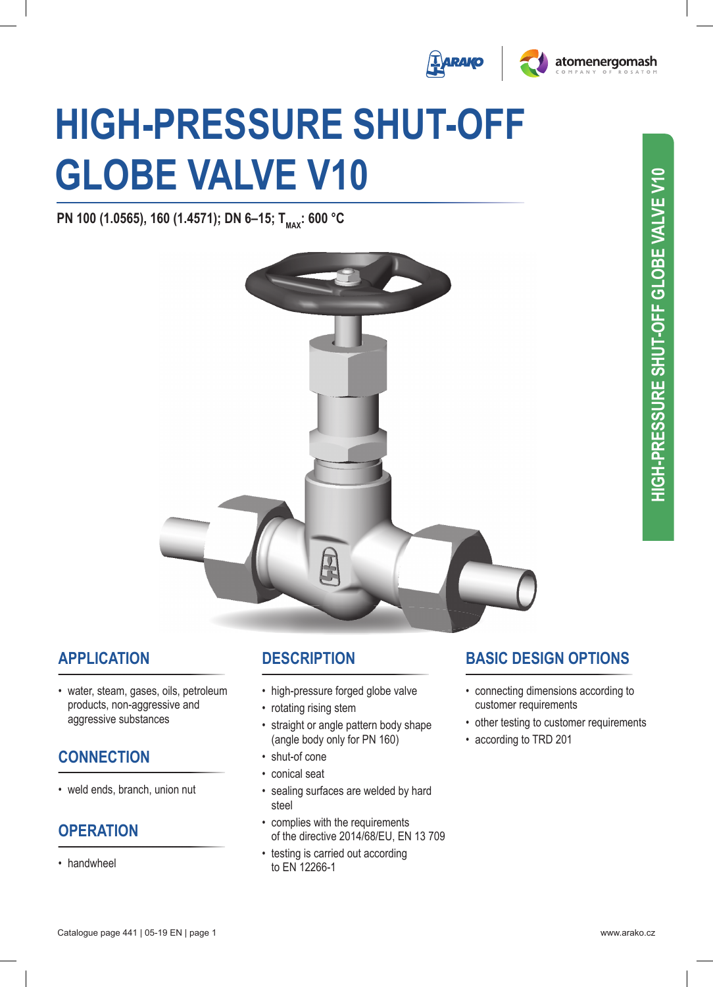



# **HigH-Pressure sHut-oFF gloBe ValVe V10**

**PN 100 (1.0565), 160 (1.4571); DN 6-15; T<sub>MAX</sub>: 600 °C** 



#### **aPPlication**

• water, steam, gases, oils, petroleum products, non-aggressive and aggressive substances

#### **connection**

• weld ends, branch, union nut

## **oPeration**

• handwheel

## **descriPtion**

- high-pressure forged globe valve
- rotating rising stem
- straight or angle pattern body shape (angle body only for PN 160)
- shut-of cone
- conical seat
- sealing surfaces are welded by hard steel
- complies with the requirements of the directive 2014/68/EU, EN 13 709
- testing is carried out according to eN 12266-1

## **Basic design oPtions**

- connecting dimensions according to customer requirements
- other testing to customer requirements
- according to TRD 201